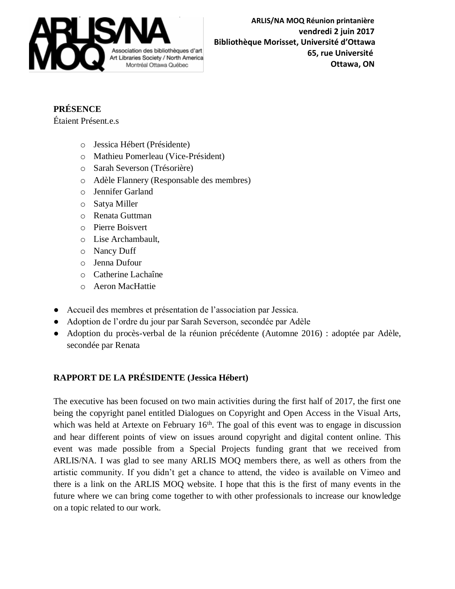

## **PRÉSENCE**

Étaient Présent.e.s

- o Jessica Hébert (Présidente)
- o Mathieu Pomerleau (Vice-Président)
- o Sarah Severson (Trésorière)
- o Adèle Flannery (Responsable des membres)
- o Jennifer Garland
- o Satya Miller
- o Renata Guttman
- o Pierre Boisvert
- o Lise Archambault,
- o Nancy Duff
- o Jenna Dufour
- o Catherine Lachaîne
- o Aeron MacHattie
- Accueil des membres et présentation de l'association par Jessica.
- Adoption de l'ordre du jour par Sarah Severson, secondée par Adèle
- Adoption du procès-verbal de la réunion précédente (Automne 2016) : adoptée par Adèle, secondée par Renata

## **RAPPORT DE LA PRÉSIDENTE (Jessica Hébert)**

The executive has been focused on two main activities during the first half of 2017, the first one being the copyright panel entitled Dialogues on Copyright and Open Access in the Visual Arts, which was held at Artexte on February  $16<sup>th</sup>$ . The goal of this event was to engage in discussion and hear different points of view on issues around copyright and digital content online. This event was made possible from a Special Projects funding grant that we received from ARLIS/NA. I was glad to see many ARLIS MOQ members there, as well as others from the artistic community. If you didn't get a chance to attend, the video is available on Vimeo and there is a link on the ARLIS MOQ website. I hope that this is the first of many events in the future where we can bring come together to with other professionals to increase our knowledge on a topic related to our work.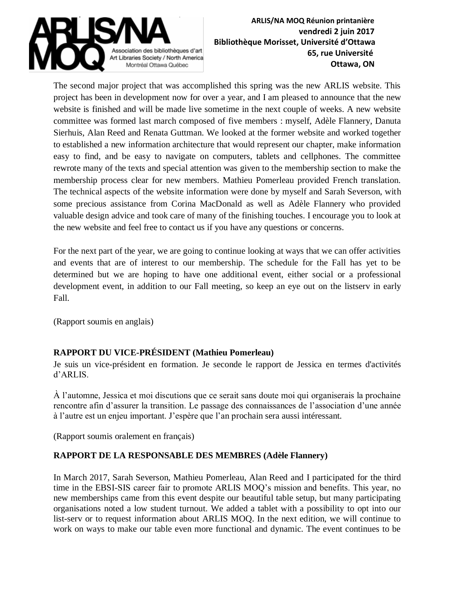

The second major project that was accomplished this spring was the new ARLIS website. This project has been in development now for over a year, and I am pleased to announce that the new website is finished and will be made live sometime in the next couple of weeks. A new website committee was formed last march composed of five members : myself, Adèle Flannery, Danuta Sierhuis, Alan Reed and Renata Guttman. We looked at the former website and worked together to established a new information architecture that would represent our chapter, make information easy to find, and be easy to navigate on computers, tablets and cellphones. The committee rewrote many of the texts and special attention was given to the membership section to make the membership process clear for new members. Mathieu Pomerleau provided French translation. The technical aspects of the website information were done by myself and Sarah Severson, with some precious assistance from Corina MacDonald as well as Adèle Flannery who provided valuable design advice and took care of many of the finishing touches. I encourage you to look at the new website and feel free to contact us if you have any questions or concerns.

For the next part of the year, we are going to continue looking at ways that we can offer activities and events that are of interest to our membership. The schedule for the Fall has yet to be determined but we are hoping to have one additional event, either social or a professional development event, in addition to our Fall meeting, so keep an eye out on the listserv in early Fall.

(Rapport soumis en anglais)

## **RAPPORT DU VICE-PRÉSIDENT (Mathieu Pomerleau)**

Je suis un vice-président en formation. Je seconde le rapport de Jessica en termes d'activités d'ARLIS.

À l'automne, Jessica et moi discutions que ce serait sans doute moi qui organiserais la prochaine rencontre afin d'assurer la transition. Le passage des connaissances de l'association d'une année à l'autre est un enjeu important. J'espère que l'an prochain sera aussi intéressant.

(Rapport soumis oralement en français)

#### **RAPPORT DE LA RESPONSABLE DES MEMBRES (Adèle Flannery)**

In March 2017, Sarah Severson, Mathieu Pomerleau, Alan Reed and I participated for the third time in the EBSI-SIS career fair to promote ARLIS MOQ's mission and benefits. This year, no new memberships came from this event despite our beautiful table setup, but many participating organisations noted a low student turnout. We added a tablet with a possibility to opt into our list-serv or to request information about ARLIS MOQ. In the next edition, we will continue to work on ways to make our table even more functional and dynamic. The event continues to be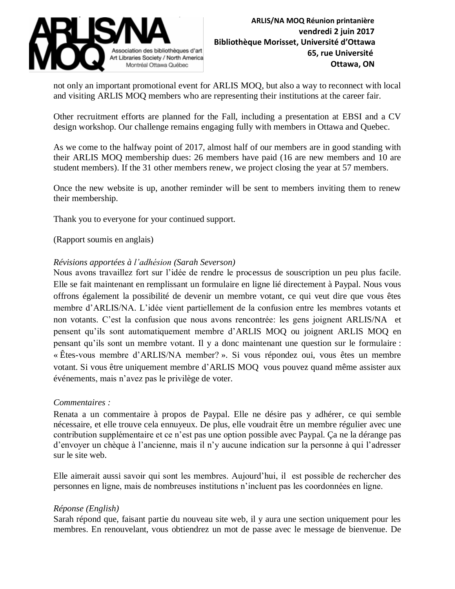

not only an important promotional event for ARLIS MOQ, but also a way to reconnect with local and visiting ARLIS MOQ members who are representing their institutions at the career fair.

Other recruitment efforts are planned for the Fall, including a presentation at EBSI and a CV design workshop. Our challenge remains engaging fully with members in Ottawa and Quebec.

As we come to the halfway point of 2017, almost half of our members are in good standing with their ARLIS MOQ membership dues: 26 members have paid (16 are new members and 10 are student members). If the 31 other members renew, we project closing the year at 57 members.

Once the new website is up, another reminder will be sent to members inviting them to renew their membership.

Thank you to everyone for your continued support.

(Rapport soumis en anglais)

#### *Révisions apportées à l'adhésion (Sarah Severson)*

Nous avons travaillez fort sur l'idée de rendre le processus de souscription un peu plus facile. Elle se fait maintenant en remplissant un formulaire en ligne lié directement à Paypal. Nous vous offrons également la possibilité de devenir un membre votant, ce qui veut dire que vous êtes membre d'ARLIS/NA. L'idée vient partiellement de la confusion entre les membres votants et non votants. C'est la confusion que nous avons rencontrée: les gens joignent ARLIS/NA et pensent qu'ils sont automatiquement membre d'ARLIS MOQ ou joignent ARLIS MOQ en pensant qu'ils sont un membre votant. Il y a donc maintenant une question sur le formulaire : « Êtes-vous membre d'ARLIS/NA member? ». Si vous répondez oui, vous êtes un membre votant. Si vous être uniquement membre d'ARLIS MOQ vous pouvez quand même assister aux événements, mais n'avez pas le privilège de voter.

#### *Commentaires :*

Renata a un commentaire à propos de Paypal. Elle ne désire pas y adhérer, ce qui semble nécessaire, et elle trouve cela ennuyeux. De plus, elle voudrait être un membre régulier avec une contribution supplémentaire et ce n'est pas une option possible avec Paypal. Ça ne la dérange pas d'envoyer un chèque à l'ancienne, mais il n'y aucune indication sur la personne à qui l'adresser sur le site web.

Elle aimerait aussi savoir qui sont les membres. Aujourd'hui, il est possible de rechercher des personnes en ligne, mais de nombreuses institutions n'incluent pas les coordonnées en ligne.

#### *Réponse (English)*

Sarah répond que, faisant partie du nouveau site web, il y aura une section uniquement pour les membres. En renouvelant, vous obtiendrez un mot de passe avec le message de bienvenue. De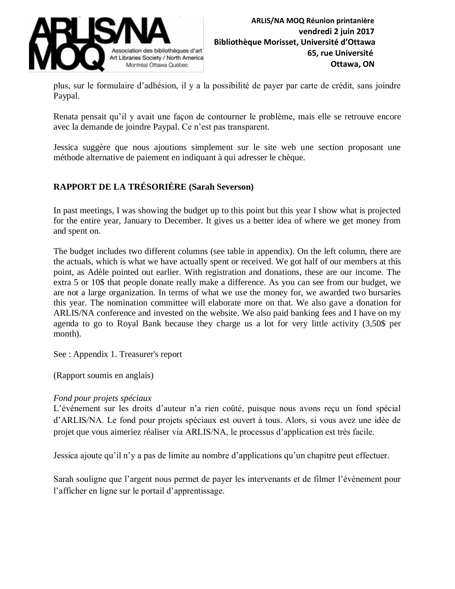

plus, sur le formulaire d'adhésion, il y a la possibilité de payer par carte de crédit, sans joindre Paypal.

Renata pensait qu'il y avait une façon de contourner le problème, mais elle se retrouve encore avec la demande de joindre Paypal. Ce n'est pas transparent.

Jessica suggère que nous ajoutions simplement sur le site web une section proposant une méthode alternative de paiement en indiquant à qui adresser le chèque.

## **RAPPORT DE LA TRÉSORIÈRE (Sarah Severson)**

In past meetings, I was showing the budget up to this point but this year I show what is projected for the entire year, January to December. It gives us a better idea of where we get money from and spent on.

The budget includes two different columns (see table in appendix). On the left column, there are the actuals, which is what we have actually spent or received. We got half of our members at this point, as Adèle pointed out earlier. With registration and donations, these are our income. The extra 5 or 10\$ that people donate really make a difference. As you can see from our budget, we are not a large organization. In terms of what we use the money for, we awarded two bursaries this year. The nomination committee will elaborate more on that. We also gave a donation for ARLIS/NA conference and invested on the website. We also paid banking fees and I have on my agenda to go to Royal Bank because they charge us a lot for very little activity (3,50\$ per month).

See : Appendix 1. Treasurer's report

(Rapport soumis en anglais)

#### *Fond pour projets spéciaux*

L'événement sur les droits d'auteur n'a rien coûté, puisque nous avons reçu un fond spécial d'ARLIS/NA. Le fond pour projets spéciaux est ouvert à tous. Alors, si vous avez une idée de projet que vous aimeriez réaliser via ARLIS/NA, le processus d'application est très facile.

Jessica ajoute qu'il n'y a pas de limite au nombre d'applications qu'un chapitre peut effectuer.

Sarah souligne que l'argent nous permet de payer les intervenants et de filmer l'événement pour l'afficher en ligne sur le portail d'apprentissage.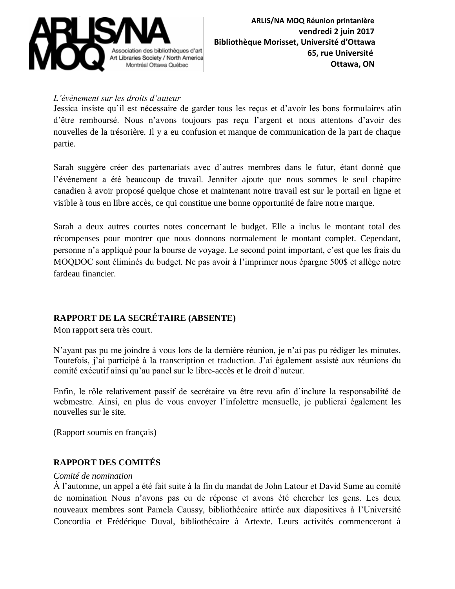

#### *L'évènement sur les droits d'auteur*

Jessica insiste qu'il est nécessaire de garder tous les reçus et d'avoir les bons formulaires afin d'être remboursé. Nous n'avons toujours pas reçu l'argent et nous attentons d'avoir des nouvelles de la trésorière. Il y a eu confusion et manque de communication de la part de chaque partie.

Sarah suggère créer des partenariats avec d'autres membres dans le futur, étant donné que l'événement a été beaucoup de travail. Jennifer ajoute que nous sommes le seul chapitre canadien à avoir proposé quelque chose et maintenant notre travail est sur le portail en ligne et visible à tous en libre accès, ce qui constitue une bonne opportunité de faire notre marque.

Sarah a deux autres courtes notes concernant le budget. Elle a inclus le montant total des récompenses pour montrer que nous donnons normalement le montant complet. Cependant, personne n'a appliqué pour la bourse de voyage. Le second point important, c'est que les frais du MOQDOC sont éliminés du budget. Ne pas avoir à l'imprimer nous épargne 500\$ et allège notre fardeau financier.

## **RAPPORT DE LA SECRÉTAIRE (ABSENTE)**

Mon rapport sera très court.

N'ayant pas pu me joindre à vous lors de la dernière réunion, je n'ai pas pu rédiger les minutes. Toutefois, j'ai participé à la transcription et traduction. J'ai également assisté aux réunions du comité exécutif ainsi qu'au panel sur le libre-accès et le droit d'auteur.

Enfin, le rôle relativement passif de secrétaire va être revu afin d'inclure la responsabilité de webmestre. Ainsi, en plus de vous envoyer l'infolettre mensuelle, je publierai également les nouvelles sur le site.

(Rapport soumis en français)

## **RAPPORT DES COMITÉS**

#### *Comité de nomination*

À l'automne, un appel a été fait suite à la fin du mandat de John Latour et David Sume au comité de nomination Nous n'avons pas eu de réponse et avons été chercher les gens. Les deux nouveaux membres sont Pamela Caussy, bibliothécaire attirée aux diapositives à l'Université Concordia et Frédérique Duval, bibliothécaire à Artexte. Leurs activités commenceront à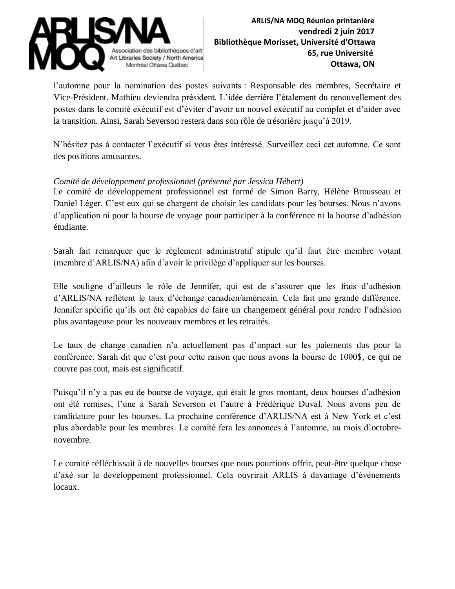

l'automne pour la nomination des postes suivants : Responsable des membres, Secrétaire et Vice-Président. Mathieu deviendra président. L'idée derrière l'étalement du renouvellement des postes dans le comité exécutif est d'éviter d'avoir un nouvel exécutif au complet et d'aider avec la transition. Ainsi, Sarah Severson restera dans son rôle de trésorière jusqu'à 2019.

N'hésitez pas à contacter l'exécutif si vous êtes intéressé. Surveillez ceci cet automne. Ce sont des positions amusantes.

#### *Comité de développement professionnel (présenté par Jessica Hébert)*

Le comité de développement professionnel est formé de Simon Barry, Hélène Brousseau et Daniel Léger. C'est eux qui se chargent de choisir les candidats pour les bourses. Nous n'avons d'application ni pour la bourse de voyage pour participer à la conférence ni la bourse d'adhésion étudiante.

Sarah fait remarquer que le règlement administratif stipule qu'il faut être membre votant (membre d'ARLIS/NA) afin d'avoir le privilège d'appliquer sur les bourses.

Elle souligne d'ailleurs le rôle de Jennifer, qui est de s'assurer que les frais d'adhésion d'ARLIS/NA reflètent le taux d'échange canadien/américain. Cela fait une grande différence. Jennifer spécifie qu'ils ont été capables de faire un changement général pour rendre l'adhésion plus avantageuse pour les nouveaux membres et les retraités.

Le taux de change canadien n'a actuellement pas d'impact sur les paiements dus pour la conférence. Sarah dit que c'est pour cette raison que nous avons la bourse de 1000\$, ce qui ne couvre pas tout, mais est significatif.

Puisqu'il n'y a pas eu de bourse de voyage, qui était le gros montant, deux bourses d'adhésion ont été remises, l'une à Sarah Severson et l'autre à Frédérique Duval. Nous avons peu de candidature pour les bourses. La prochaine conférence d'ARLIS/NA est à New York et c'est plus abordable pour les membres. Le comité fera les annonces à l'automne, au mois d'octobrenovembre.

Le comité réfléchissait à de nouvelles bourses que nous pourrions offrir, peut-être quelque chose d'axé sur le développement professionnel. Cela ouvrirait ARLIS à davantage d'événements locaux.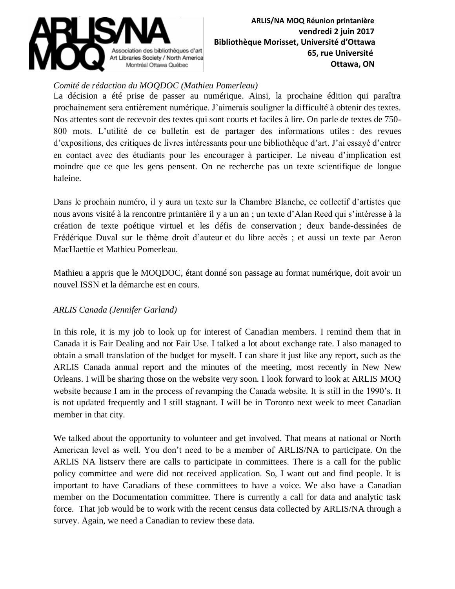

#### *Comité de rédaction du MOQDOC (Mathieu Pomerleau)*

La décision a été prise de passer au numérique. Ainsi, la prochaine édition qui paraîtra prochainement sera entièrement numérique. J'aimerais souligner la difficulté à obtenir des textes. Nos attentes sont de recevoir des textes qui sont courts et faciles à lire. On parle de textes de 750- 800 mots. L'utilité de ce bulletin est de partager des informations utiles : des revues d'expositions, des critiques de livres intéressants pour une bibliothèque d'art. J'ai essayé d'entrer en contact avec des étudiants pour les encourager à participer. Le niveau d'implication est moindre que ce que les gens pensent. On ne recherche pas un texte scientifique de longue haleine.

Dans le prochain numéro, il y aura un texte sur la Chambre Blanche, ce collectif d'artistes que nous avons visité à la rencontre printanière il y a un an ; un texte d'Alan Reed qui s'intéresse à la création de texte poétique virtuel et les défis de conservation ; deux bande-dessinées de Frédérique Duval sur le thème droit d'auteur et du libre accès ; et aussi un texte par Aeron MacHaettie et Mathieu Pomerleau.

Mathieu a appris que le MOQDOC, étant donné son passage au format numérique, doit avoir un nouvel ISSN et la démarche est en cours.

#### *ARLIS Canada (Jennifer Garland)*

In this role, it is my job to look up for interest of Canadian members. I remind them that in Canada it is Fair Dealing and not Fair Use. I talked a lot about exchange rate. I also managed to obtain a small translation of the budget for myself. I can share it just like any report, such as the ARLIS Canada annual report and the minutes of the meeting, most recently in New New Orleans. I will be sharing those on the website very soon. I look forward to look at ARLIS MOQ website because I am in the process of revamping the Canada website. It is still in the 1990's. It is not updated frequently and I still stagnant. I will be in Toronto next week to meet Canadian member in that city.

We talked about the opportunity to volunteer and get involved. That means at national or North American level as well. You don't need to be a member of ARLIS/NA to participate. On the ARLIS NA listserv there are calls to participate in committees. There is a call for the public policy committee and were did not received application. So, I want out and find people. It is important to have Canadians of these committees to have a voice. We also have a Canadian member on the Documentation committee. There is currently a call for data and analytic task force. That job would be to work with the recent census data collected by ARLIS/NA through a survey. Again, we need a Canadian to review these data.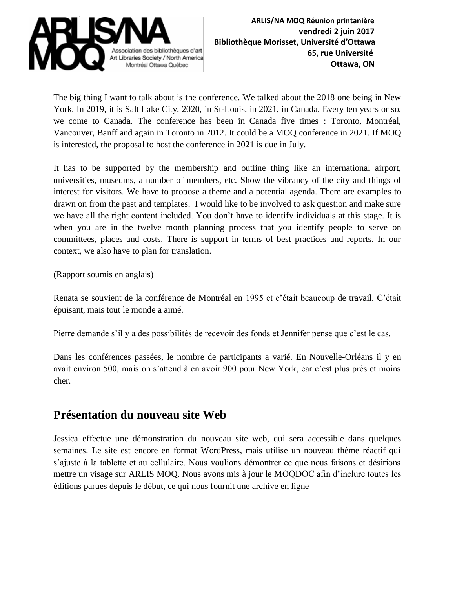

The big thing I want to talk about is the conference. We talked about the 2018 one being in New York. In 2019, it is Salt Lake City, 2020, in St-Louis, in 2021, in Canada. Every ten years or so, we come to Canada. The conference has been in Canada five times : Toronto, Montréal, Vancouver, Banff and again in Toronto in 2012. It could be a MOQ conference in 2021. If MOQ is interested, the proposal to host the conference in 2021 is due in July.

It has to be supported by the membership and outline thing like an international airport, universities, museums, a number of members, etc. Show the vibrancy of the city and things of interest for visitors. We have to propose a theme and a potential agenda. There are examples to drawn on from the past and templates. I would like to be involved to ask question and make sure we have all the right content included. You don't have to identify individuals at this stage. It is when you are in the twelve month planning process that you identify people to serve on committees, places and costs. There is support in terms of best practices and reports. In our context, we also have to plan for translation.

(Rapport soumis en anglais)

Renata se souvient de la conférence de Montréal en 1995 et c'était beaucoup de travail. C'était épuisant, mais tout le monde a aimé.

Pierre demande s'il y a des possibilités de recevoir des fonds et Jennifer pense que c'est le cas.

Dans les conférences passées, le nombre de participants a varié. En Nouvelle-Orléans il y en avait environ 500, mais on s'attend à en avoir 900 pour New York, car c'est plus près et moins cher.

## **Présentation du nouveau site Web**

Jessica effectue une démonstration du nouveau site web, qui sera accessible dans quelques semaines. Le site est encore en format WordPress, mais utilise un nouveau thème réactif qui s'ajuste à la tablette et au cellulaire. Nous voulions démontrer ce que nous faisons et désirions mettre un visage sur ARLIS MOQ. Nous avons mis à jour le MOQDOC afin d'inclure toutes les éditions parues depuis le début, ce qui nous fournit une archive en ligne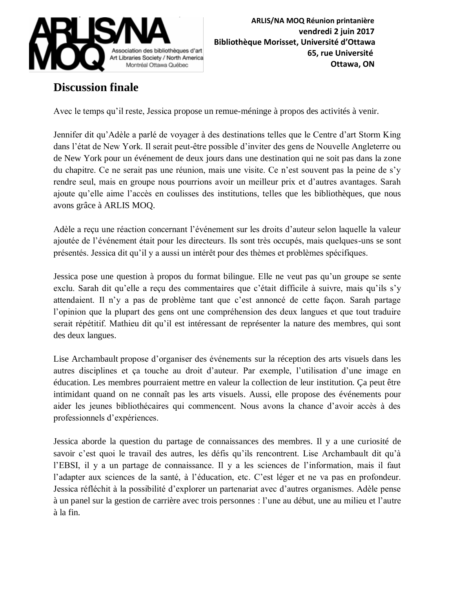

# **Discussion finale**

Avec le temps qu'il reste, Jessica propose un remue-méninge à propos des activités à venir.

Jennifer dit qu'Adèle a parlé de voyager à des destinations telles que le Centre d'art Storm King dans l'état de New York. Il serait peut-être possible d'inviter des gens de Nouvelle Angleterre ou de New York pour un événement de deux jours dans une destination qui ne soit pas dans la zone du chapitre. Ce ne serait pas une réunion, mais une visite. Ce n'est souvent pas la peine de s'y rendre seul, mais en groupe nous pourrions avoir un meilleur prix et d'autres avantages. Sarah ajoute qu'elle aime l'accès en coulisses des institutions, telles que les bibliothèques, que nous avons grâce à ARLIS MOQ.

Adèle a reçu une réaction concernant l'événement sur les droits d'auteur selon laquelle la valeur ajoutée de l'événement était pour les directeurs. Ils sont très occupés, mais quelques-uns se sont présentés. Jessica dit qu'il y a aussi un intérêt pour des thèmes et problèmes spécifiques.

Jessica pose une question à propos du format bilingue. Elle ne veut pas qu'un groupe se sente exclu. Sarah dit qu'elle a reçu des commentaires que c'était difficile à suivre, mais qu'ils s'y attendaient. Il n'y a pas de problème tant que c'est annoncé de cette façon. Sarah partage l'opinion que la plupart des gens ont une compréhension des deux langues et que tout traduire serait répétitif. Mathieu dit qu'il est intéressant de représenter la nature des membres, qui sont des deux langues.

Lise Archambault propose d'organiser des événements sur la réception des arts visuels dans les autres disciplines et ça touche au droit d'auteur. Par exemple, l'utilisation d'une image en éducation. Les membres pourraient mettre en valeur la collection de leur institution. Ça peut être intimidant quand on ne connaît pas les arts visuels. Aussi, elle propose des événements pour aider les jeunes bibliothécaires qui commencent. Nous avons la chance d'avoir accès à des professionnels d'expériences.

Jessica aborde la question du partage de connaissances des membres. Il y a une curiosité de savoir c'est quoi le travail des autres, les défis qu'ils rencontrent. Lise Archambault dit qu'à l'EBSI, il y a un partage de connaissance. Il y a les sciences de l'information, mais il faut l'adapter aux sciences de la santé, à l'éducation, etc. C'est léger et ne va pas en profondeur. Jessica réfléchit à la possibilité d'explorer un partenariat avec d'autres organismes. Adèle pense à un panel sur la gestion de carrière avec trois personnes : l'une au début, une au milieu et l'autre à la fin.